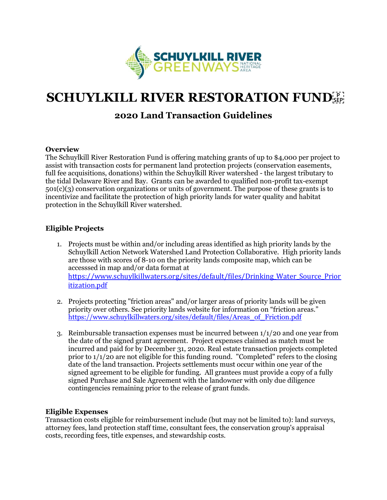

# **SCHUYLKILL RIVER RESTORATION FUNDER**

# **2020 Land Transaction Guidelines**

### **Overview**

The Schuylkill River Restoration Fund is offering matching grants of up to \$4,000 per project to assist with transaction costs for permanent land protection projects (conservation easements, full fee acquisitions, donations) within the Schuylkill River watershed - the largest tributary to the tidal Delaware River and Bay. Grants can be awarded to qualified non-profit tax-exempt 501(c)(3) conservation organizations or units of government. The purpose of these grants is to incentivize and facilitate the protection of high priority lands for water quality and habitat protection in the Schuylkill River watershed.

# **Eligible Projects**

- 1. Projects must be within and/or including areas identified as high priority lands by the Schuylkill Action Network Watershed Land Protection Collaborative. High priority lands are those with scores of 8-10 on the priority lands composite map, which can be accesssed in map and/or data format at [https://www.schuylkillwaters.org/sites/default/files/Drinking\\_Water\\_Source\\_Prior](https://www.schuylkillwaters.org/sites/default/files/Drinking_Water_Source_Prioritization.pdf) [itization.pdf](https://www.schuylkillwaters.org/sites/default/files/Drinking_Water_Source_Prioritization.pdf)
- 2. Projects protecting "friction areas" and/or larger areas of priority lands will be given priority over others. See priority lands website for information on "friction areas." [https://www.schuylkillwaters.org/sites/default/files/Areas\\_of\\_Friction.pdf](https://www.schuylkillwaters.org/sites/default/files/Areas_of_Friction.pdf)
- 3. Reimbursable transaction expenses must be incurred between 1/1/20 and one year from the date of the signed grant agreement. Project expenses claimed as match must be incurred and paid for by December 31, 2020. Real estate transaction projects completed prior to 1/1/20 are not eligible for this funding round. "Completed" refers to the closing date of the land transaction. Projects settlements must occur within one year of the signed agreement to be eligible for funding. All grantees must provide a copy of a fully signed Purchase and Sale Agreement with the landowner with only due diligence contingencies remaining prior to the release of grant funds.

# **Eligible Expenses**

Transaction costs eligible for reimbursement include (but may not be limited to): land surveys, attorney fees, land protection staff time, consultant fees, the conservation group's appraisal costs, recording fees, title expenses, and stewardship costs.